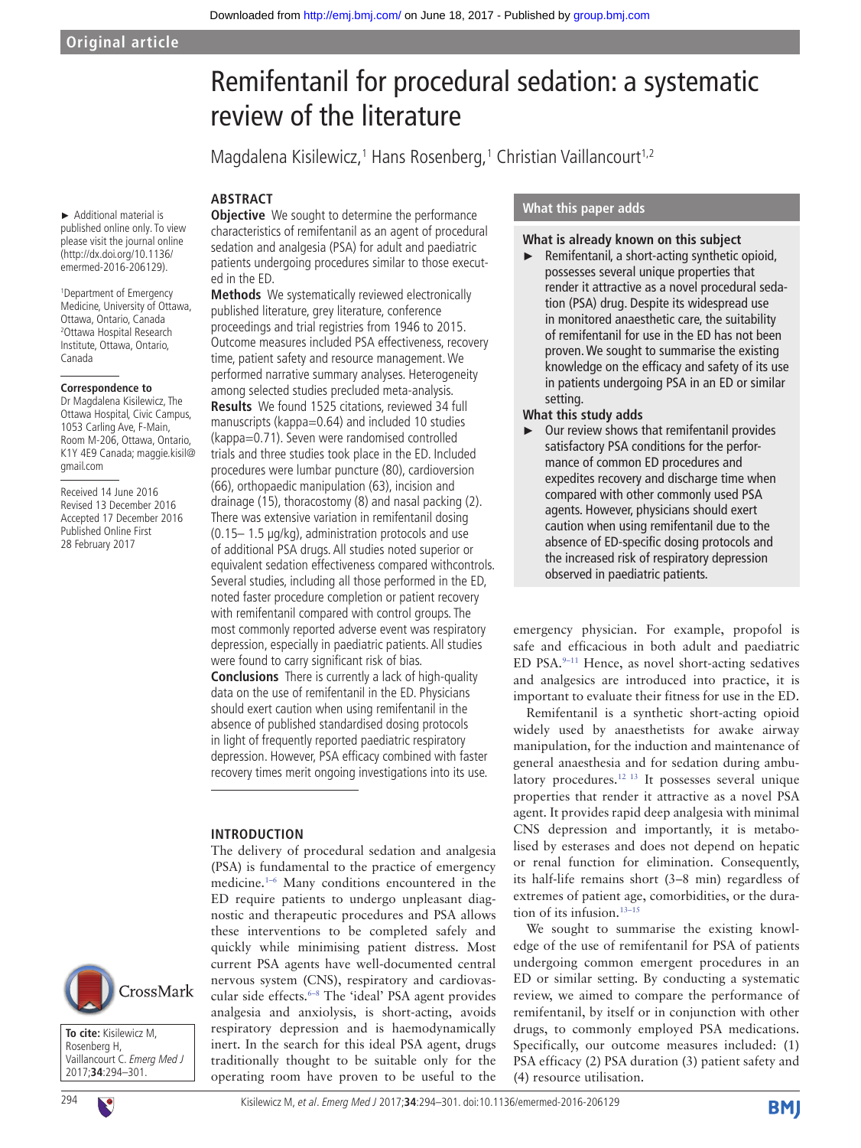#### ► Additional material is published online only. To view please visit the journal online (http://dx.doi.org/10.1136/ emermed-2016-206129).

1 Department of Emergency Medicine, University of Ottawa, Ottawa, Ontario, Canada 2 Ottawa Hospital Research Institute, Ottawa, Ontario, Canada

#### **Correspondence to**

Dr Magdalena Kisilewicz, The Ottawa Hospital, Civic Campus, 1053 Carling Ave, F-Main, Room M-206, Ottawa, Ontario, K1Y 4E9 Canada; maggie.kisil@ gmail.com

Received 14 June 2016 Revised 13 December 2016 Accepted 17 December 2016 Published Online First 28 February 2017



**To cite:** Kisilewicz M, Rosenberg H, Vaillancourt C. Emerg Med J 2017;**34**:294–301.



294 Kisilewicz M, et al. Emerg Med J 2017;**34**:294–301. doi:10.1136/emermed-2016-206129

# Remifentanil for procedural sedation: a systematic review of the literature

Magdalena Kisilewicz,<sup>1</sup> Hans Rosenberg,<sup>1</sup> Christian Vaillancourt<sup>1,2</sup>

#### **Abstract**

**Objective** We sought to determine the performance characteristics of remifentanil as an agent of procedural sedation and analgesia (PSA) for adult and paediatric patients undergoing procedures similar to those executed in the ED.

**Methods** We systematically reviewed electronically published literature, grey literature, conference proceedings and trial registries from 1946 to 2015. Outcome measures included PSA effectiveness, recovery time, patient safety and resource management. We performed narrative summary analyses. Heterogeneity among selected studies precluded meta-analysis. **Results** We found 1525 citations, reviewed 34 full manuscripts (kappa=0.64) and included 10 studies (kappa=0.71). Seven were randomised controlled trials and three studies took place in the ED. Included procedures were lumbar puncture (80), cardioversion (66), orthopaedic manipulation (63), incision and drainage (15), thoracostomy (8) and nasal packing (2). There was extensive variation in remifentanil dosing (0.15– 1.5 μg/kg), administration protocols and use of additional PSA drugs. All studies noted superior or equivalent sedation effectiveness compared withcontrols. Several studies, including all those performed in the ED, noted faster procedure completion or patient recovery with remifentanil compared with control groups. The most commonly reported adverse event was respiratory depression, especially in paediatric patients. All studies were found to carry significant risk of bias.

**Conclusions** There is currently a lack of high-quality data on the use of remifentanil in the ED. Physicians should exert caution when using remifentanil in the absence of published standardised dosing protocols in light of frequently reported paediatric respiratory depression. However, PSA efficacy combined with faster recovery times merit ongoing investigations into its use.

#### **Introduction**

The delivery of procedural sedation and analgesia (PSA) is fundamental to the practice of emergency medicine[.1–6](#page-7-0) Many conditions encountered in the ED require patients to undergo unpleasant diagnostic and therapeutic procedures and PSA allows these interventions to be completed safely and quickly while minimising patient distress. Most current PSA agents have well-documented central nervous system (CNS), respiratory and cardiovas-cular side effects.<sup>[6–8](#page-7-1)</sup> The 'ideal' PSA agent provides analgesia and anxiolysis, is short-acting, avoids respiratory depression and is haemodynamically inert. In the search for this ideal PSA agent, drugs traditionally thought to be suitable only for the operating room have proven to be useful to the

#### **What this paper adds**

#### **What is already known on this subject**

 $\blacktriangleright$  Remifentanil, a short-acting synthetic opioid, possesses several unique properties that render it attractive as a novel procedural sedation (PSA) drug. Despite its widespread use in monitored anaesthetic care, the suitability of remifentanil for use in the ED has not been proven. We sought to summarise the existing knowledge on the efficacy and safety of its use in patients undergoing PSA in an ED or similar setting.

# **What this study adds**

Our review shows that remifentanil provides satisfactory PSA conditions for the performance of common ED procedures and expedites recovery and discharge time when compared with other commonly used PSA agents. However, physicians should exert caution when using remifentanil due to the absence of ED-specific dosing protocols and the increased risk of respiratory depression observed in paediatric patients.

emergency physician. For example, propofol is safe and efficacious in both adult and paediatric ED PSA[.9–11](#page-7-2) Hence, as novel short-acting sedatives and analgesics are introduced into practice, it is important to evaluate their fitness for use in the ED.

Remifentanil is a synthetic short-acting opioid widely used by anaesthetists for awake airway manipulation, for the induction and maintenance of general anaesthesia and for sedation during ambulatory procedures.<sup>12 13</sup> It possesses several unique properties that render it attractive as a novel PSA agent. It provides rapid deep analgesia with minimal CNS depression and importantly, it is metabolised by esterases and does not depend on hepatic or renal function for elimination. Consequently, its half-life remains short (3–8 min) regardless of extremes of patient age, comorbidities, or the duration of its infusion.<sup>13-15</sup>

We sought to summarise the existing knowledge of the use of remifentanil for PSA of patients undergoing common emergent procedures in an ED or similar setting. By conducting a systematic review, we aimed to compare the performance of remifentanil, by itself or in conjunction with other drugs, to commonly employed PSA medications. Specifically, our outcome measures included: (1) PSA efficacy (2) PSA duration (3) patient safety and (4) resource utilisation.

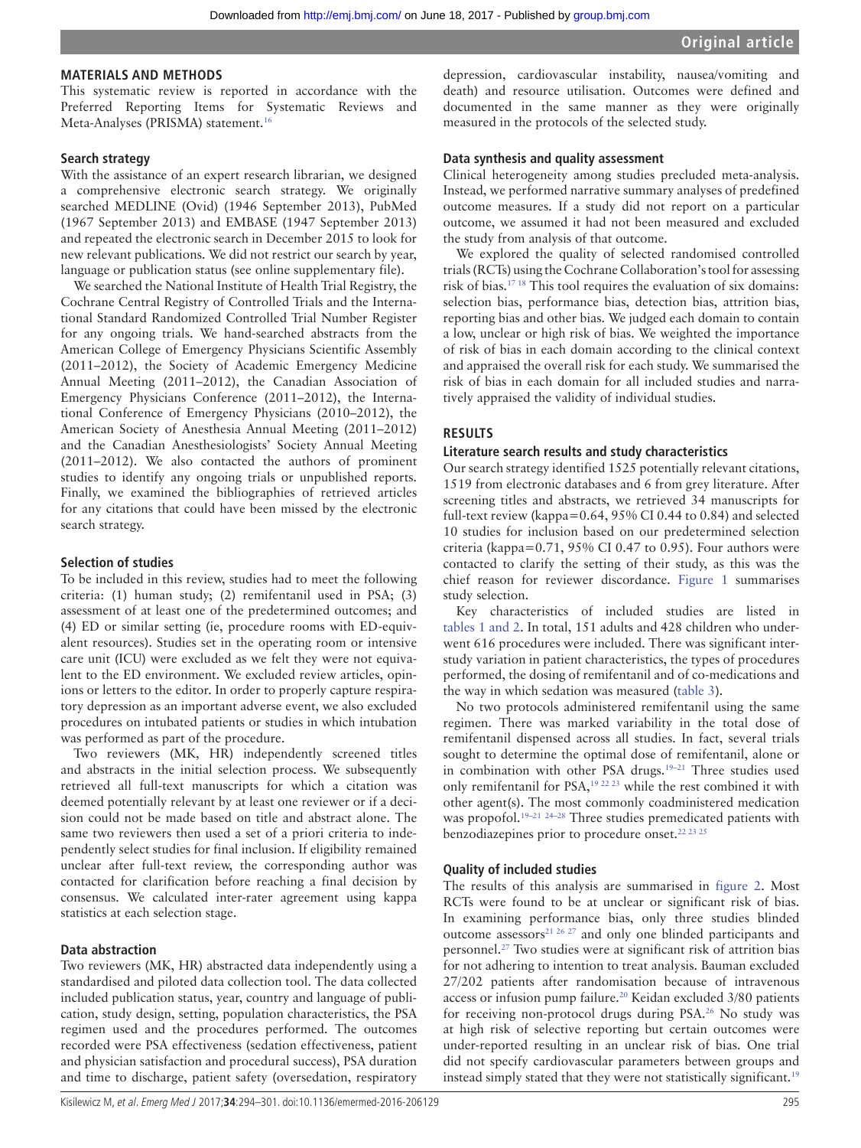### **Materials and methods**

This systematic review is reported in accordance with the Preferred Reporting Items for Systematic Reviews and Meta-Analyses (PRISMA) statement.<sup>16</sup>

## **Search strategy**

With the assistance of an expert research librarian, we designed a comprehensive electronic search strategy. We originally searched MEDLINE (Ovid) (1946 September 2013), PubMed (1967 September 2013) and EMBASE (1947 September 2013) and repeated the electronic search in December 2015 to look for new relevant publications. We did not restrict our search by year, language or publication status (see online supplementary file).

We searched the National Institute of Health Trial Registry, the Cochrane Central Registry of Controlled Trials and the International Standard Randomized Controlled Trial Number Register for any ongoing trials. We hand-searched abstracts from the American College of Emergency Physicians Scientific Assembly (2011–2012), the Society of Academic Emergency Medicine Annual Meeting (2011–2012), the Canadian Association of Emergency Physicians Conference (2011–2012), the International Conference of Emergency Physicians (2010–2012), the American Society of Anesthesia Annual Meeting (2011–2012) and the Canadian Anesthesiologists' Society Annual Meeting (2011–2012). We also contacted the authors of prominent studies to identify any ongoing trials or unpublished reports. Finally, we examined the bibliographies of retrieved articles for any citations that could have been missed by the electronic search strategy.

#### **Selection of studies**

To be included in this review, studies had to meet the following criteria: (1) human study; (2) remifentanil used in PSA; (3) assessment of at least one of the predetermined outcomes; and (4) ED or similar setting (ie, procedure rooms with ED-equivalent resources). Studies set in the operating room or intensive care unit (ICU) were excluded as we felt they were not equivalent to the ED environment. We excluded review articles, opinions or letters to the editor. In order to properly capture respiratory depression as an important adverse event, we also excluded procedures on intubated patients or studies in which intubation was performed as part of the procedure.

Two reviewers (MK, HR) independently screened titles and abstracts in the initial selection process. We subsequently retrieved all full-text manuscripts for which a citation was deemed potentially relevant by at least one reviewer or if a decision could not be made based on title and abstract alone. The same two reviewers then used a set of a priori criteria to independently select studies for final inclusion. If eligibility remained unclear after full-text review, the corresponding author was contacted for clarification before reaching a final decision by consensus. We calculated inter-rater agreement using kappa statistics at each selection stage.

#### **Data abstraction**

Two reviewers (MK, HR) abstracted data independently using a standardised and piloted data collection tool. The data collected included publication status, year, country and language of publication, study design, setting, population characteristics, the PSA regimen used and the procedures performed. The outcomes recorded were PSA effectiveness (sedation effectiveness, patient and physician satisfaction and procedural success), PSA duration and time to discharge, patient safety (oversedation, respiratory

depression, cardiovascular instability, nausea/vomiting and death) and resource utilisation. Outcomes were defined and documented in the same manner as they were originally measured in the protocols of the selected study.

#### **Data synthesis and quality assessment**

Clinical heterogeneity among studies precluded meta-analysis. Instead, we performed narrative summary analyses of predefined outcome measures. If a study did not report on a particular outcome, we assumed it had not been measured and excluded the study from analysis of that outcome.

We explored the quality of selected randomised controlled trials (RCTs) using the Cochrane Collaboration's tool for assessing risk of bias.[17 18](#page-7-6) This tool requires the evaluation of six domains: selection bias, performance bias, detection bias, attrition bias, reporting bias and other bias. We judged each domain to contain a low, unclear or high risk of bias. We weighted the importance of risk of bias in each domain according to the clinical context and appraised the overall risk for each study. We summarised the risk of bias in each domain for all included studies and narratively appraised the validity of individual studies.

#### **Results**

#### **Literature search results and study characteristics**

Our search strategy identified 1525 potentially relevant citations, 1519 from electronic databases and 6 from grey literature. After screening titles and abstracts, we retrieved 34 manuscripts for full-text review (kappa=0.64, 95% CI 0.44 to 0.84) and selected 10 studies for inclusion based on our predetermined selection criteria (kappa=0.71, 95% CI 0.47 to 0.95). Four authors were contacted to clarify the setting of their study, as this was the chief reason for reviewer discordance. [Figure](#page-2-0) 1 summarises study selection.

Key characteristics of included studies are listed in [tables](#page-2-1) 1 and 2. In total, 151 adults and 428 children who underwent 616 procedures were included. There was significant interstudy variation in patient characteristics, the types of procedures performed, the dosing of remifentanil and of co-medications and the way in which sedation was measured ([table](#page-3-0) 3).

No two protocols administered remifentanil using the same regimen. There was marked variability in the total dose of remifentanil dispensed across all studies. In fact, several trials sought to determine the optimal dose of remifentanil, alone or in combination with other PSA drugs.<sup>19-21</sup> Three studies used only remifentanil for PSA,<sup>19 22 23</sup> while the rest combined it with other agent(s). The most commonly coadministered medication was propofol.<sup>19–21 [24–28](#page-7-8)</sup> Three studies premedicated patients with benzodiazepines prior to procedure onset.<sup>22 23 25</sup>

#### **Quality of included studies**

The results of this analysis are summarised in [figure](#page-5-0) 2. Most RCTs were found to be at unclear or significant risk of bias. In examining performance bias, only three studies blinded outcome assessors<sup>21 26 27</sup> and only one blinded participants and personnel.[27](#page-7-11) Two studies were at significant risk of attrition bias for not adhering to intention to treat analysis. Bauman excluded 27/202 patients after randomisation because of intravenous access or infusion pump failure.[20](#page-7-12) Keidan excluded 3/80 patients for receiving non-protocol drugs during PSA[.26](#page-7-13) No study was at high risk of selective reporting but certain outcomes were under-reported resulting in an unclear risk of bias. One trial did not specify cardiovascular parameters between groups and instead simply stated that they were not statistically significant.<sup>19</sup>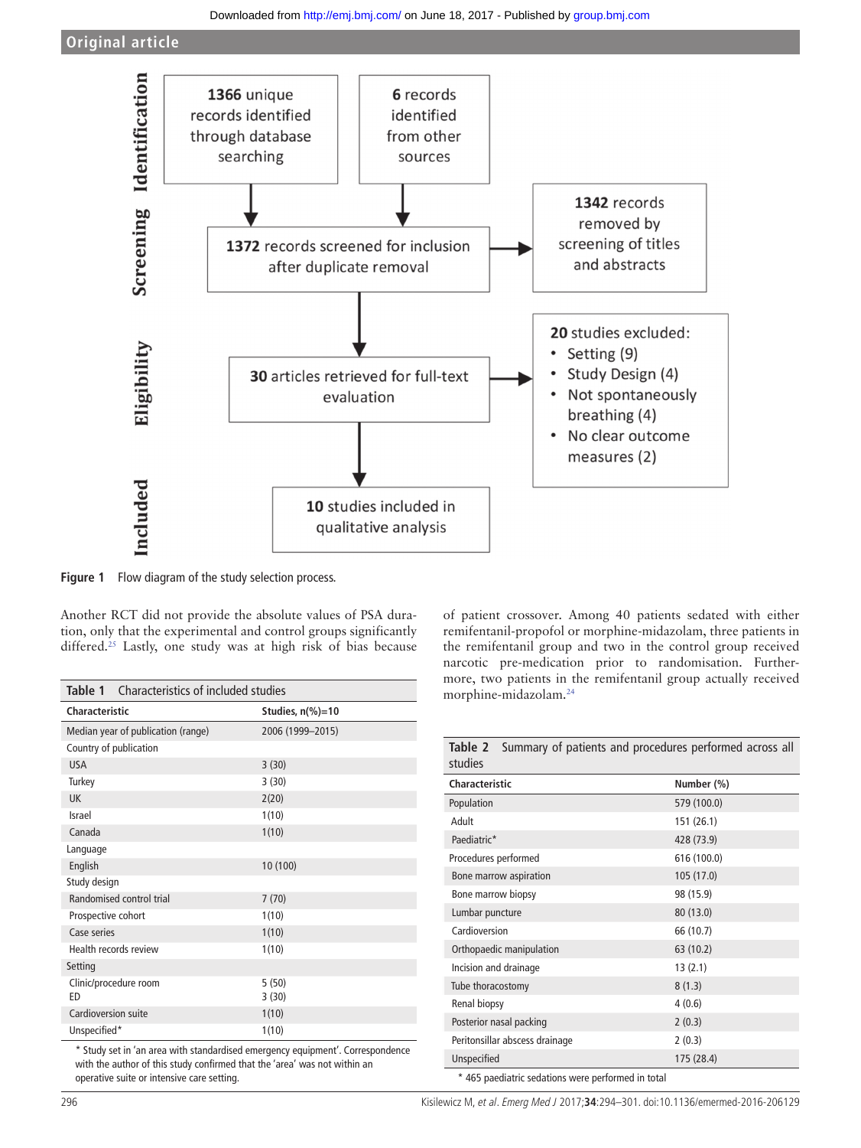

<span id="page-2-0"></span>**Figure 1** Flow diagram of the study selection process.

Another RCT did not provide the absolute values of PSA duration, only that the experimental and control groups significantly differed.<sup>25</sup> Lastly, one study was at high risk of bias because

<span id="page-2-1"></span>

| <b>Table 1</b> Characteristics of included studies |                             |  |  |  |  |  |
|----------------------------------------------------|-----------------------------|--|--|--|--|--|
| Characteristic                                     | Studies, $n\frac{9}{6}$ =10 |  |  |  |  |  |
| Median year of publication (range)                 | 2006 (1999-2015)            |  |  |  |  |  |
| Country of publication                             |                             |  |  |  |  |  |
| <b>USA</b>                                         | 3(30)                       |  |  |  |  |  |
| Turkey                                             | 3(30)                       |  |  |  |  |  |
| UK                                                 | 2(20)                       |  |  |  |  |  |
| Israel                                             | 1(10)                       |  |  |  |  |  |
| Canada                                             | 1(10)                       |  |  |  |  |  |
| Language                                           |                             |  |  |  |  |  |
| English                                            | 10 (100)                    |  |  |  |  |  |
| Study design                                       |                             |  |  |  |  |  |
| Randomised control trial                           | 7(70)                       |  |  |  |  |  |
| Prospective cohort                                 | 1(10)                       |  |  |  |  |  |
| Case series                                        | 1(10)                       |  |  |  |  |  |
| Health records review                              | 1(10)                       |  |  |  |  |  |
| Setting                                            |                             |  |  |  |  |  |
| Clinic/procedure room<br>ED                        | 5(50)<br>3(30)              |  |  |  |  |  |
| Cardioversion suite                                | 1(10)                       |  |  |  |  |  |
| Unspecified*                                       | 1(10)                       |  |  |  |  |  |

\* Study set in 'an area with standardised emergency equipment'. Correspondence with the author of this study confirmed that the 'area' was not within an operative suite or intensive care setting.

of patient crossover. Among 40 patients sedated with either remifentanil-propofol or morphine-midazolam, three patients in the remifentanil group and two in the control group received narcotic pre-medication prior to randomisation. Furthermore, two patients in the remifentanil group actually received morphine-midazolam[.24](#page-7-8)

| Summary of patients and procedures performed across all<br>Table 2<br>studies |             |  |  |  |  |  |
|-------------------------------------------------------------------------------|-------------|--|--|--|--|--|
| Characteristic<br>Number (%)                                                  |             |  |  |  |  |  |
| Population                                                                    | 579 (100.0) |  |  |  |  |  |
| Adult                                                                         | 151 (26.1)  |  |  |  |  |  |
| Paediatric*                                                                   | 428 (73.9)  |  |  |  |  |  |
| Procedures performed                                                          | 616 (100.0) |  |  |  |  |  |
| Bone marrow aspiration                                                        | 105 (17.0)  |  |  |  |  |  |
| Bone marrow biopsy                                                            | 98 (15.9)   |  |  |  |  |  |
| Lumbar puncture                                                               | 80 (13.0)   |  |  |  |  |  |
| Cardioversion                                                                 | 66 (10.7)   |  |  |  |  |  |
| Orthopaedic manipulation                                                      | 63 (10.2)   |  |  |  |  |  |
| Incision and drainage                                                         | 13(2.1)     |  |  |  |  |  |
| Tube thoracostomy                                                             | 8(1.3)      |  |  |  |  |  |
| 4(0.6)<br>Renal biopsy                                                        |             |  |  |  |  |  |
| Posterior nasal packing<br>2(0.3)                                             |             |  |  |  |  |  |
| Peritonsillar abscess drainage<br>2(0.3)                                      |             |  |  |  |  |  |
| Unspecified<br>175 (28.4)                                                     |             |  |  |  |  |  |
| * 465 paediatric sedations were performed in total                            |             |  |  |  |  |  |

296 Kisilewicz M, et al. Emerg Med J 2017;**34**:294–301. doi:10.1136/emermed-2016-206129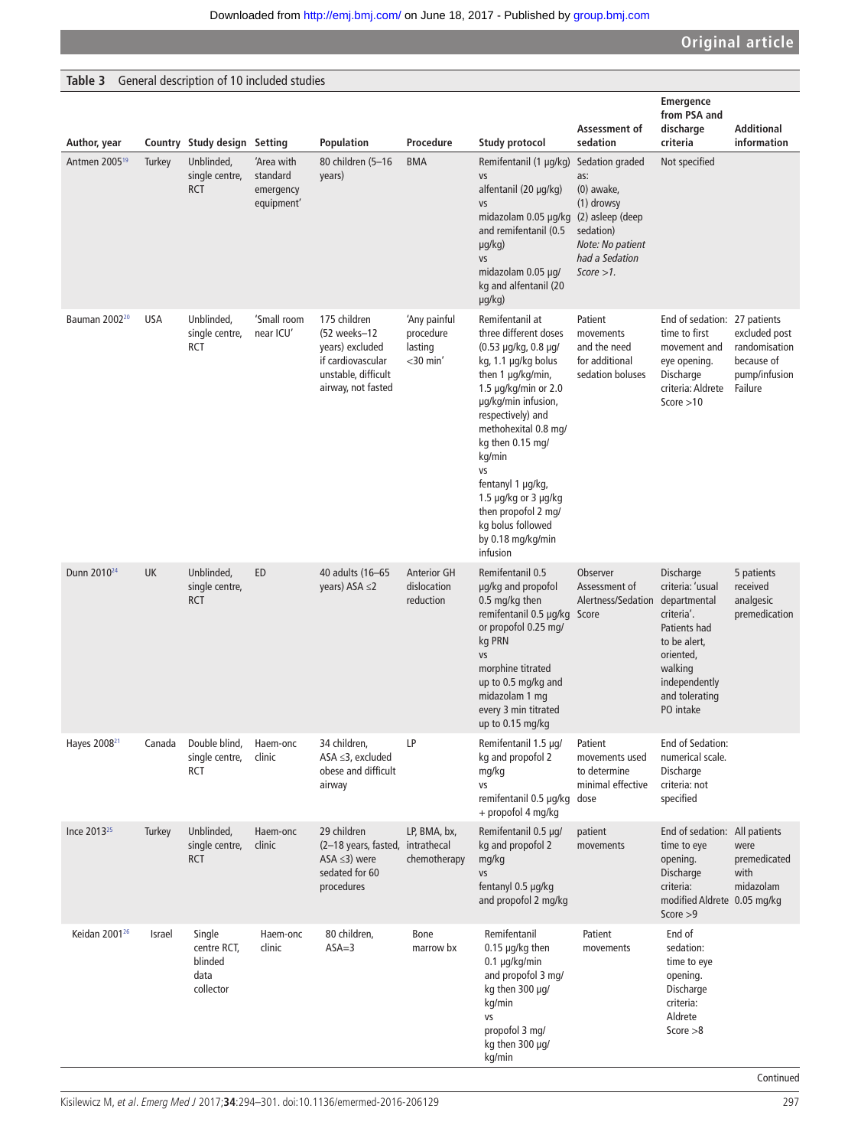# <span id="page-3-0"></span>**Table 3** General description of 10 included studies

| Author, year              |            | Country Study design Setting                          |                                                   | Population                                                                                                        | Procedure                                           | Study protocol                                                                                                                                                                                                                                                                                                                                                              | Assessment of<br>sedation                                                                                                                    | <b>Emergence</b><br>from PSA and<br>discharge<br>criteria                                                                                                           | Additional<br>information                                                |
|---------------------------|------------|-------------------------------------------------------|---------------------------------------------------|-------------------------------------------------------------------------------------------------------------------|-----------------------------------------------------|-----------------------------------------------------------------------------------------------------------------------------------------------------------------------------------------------------------------------------------------------------------------------------------------------------------------------------------------------------------------------------|----------------------------------------------------------------------------------------------------------------------------------------------|---------------------------------------------------------------------------------------------------------------------------------------------------------------------|--------------------------------------------------------------------------|
| Antmen 2005 <sup>19</sup> | Turkey     | Unblinded,<br>single centre,<br><b>RCT</b>            | 'Area with<br>standard<br>emergency<br>equipment' | 80 children (5-16<br>years)                                                                                       | <b>BMA</b>                                          | Remifentanil (1 µg/kg)<br>VS<br>alfentanil (20 µg/kg)<br>VS<br>midazolam 0.05 µg/kg<br>and remifentanil (0.5<br>$\mu$ g/kg)<br>VS<br>midazolam 0.05 µg/<br>kg and alfentanil (20<br>µg/kg)                                                                                                                                                                                  | Sedation graded<br>as:<br>$(0)$ awake,<br>(1) drowsy<br>(2) asleep (deep<br>sedation)<br>Note: No patient<br>had a Sedation<br>$Score > 1$ . | Not specified                                                                                                                                                       |                                                                          |
| Bauman 2002 <sup>20</sup> | <b>USA</b> | Unblinded,<br>single centre,<br><b>RCT</b>            | 'Small room<br>near ICU'                          | 175 children<br>(52 weeks-12<br>years) excluded<br>if cardiovascular<br>unstable, difficult<br>airway, not fasted | 'Any painful<br>procedure<br>lasting<br>$<$ 30 min' | Remifentanil at<br>three different doses<br>(0.53 µg/kg, 0.8 µg/<br>kg, 1.1 µg/kg bolus<br>then 1 µg/kg/min,<br>1.5 $\mu$ g/kg/min or 2.0<br>µg/kg/min infusion,<br>respectively) and<br>methohexital 0.8 mg/<br>kg then 0.15 mg/<br>kg/min<br>VS<br>fentanyl 1 µg/kg,<br>1.5 µg/kg or 3 µg/kg<br>then propofol 2 mq/<br>kg bolus followed<br>by 0.18 mg/kg/min<br>infusion | Patient<br>movements<br>and the need<br>for additional<br>sedation boluses                                                                   | End of sedation: 27 patients<br>time to first<br>movement and<br>eye opening.<br>Discharge<br>criteria: Aldrete<br>Score $>10$                                      | excluded post<br>randomisation<br>because of<br>pump/infusion<br>Failure |
| Dunn 2010 <sup>24</sup>   | <b>UK</b>  | Unblinded,<br>single centre,<br><b>RCT</b>            | ED                                                | 40 adults (16-65<br>years) ASA $\leq$ 2                                                                           | <b>Anterior GH</b><br>dislocation<br>reduction      | Remifentanil 0.5<br>µg/kg and propofol<br>0.5 mg/kg then<br>remifentanil 0.5 µg/kg Score<br>or propofol 0.25 mg/<br>kg PRN<br>VS<br>morphine titrated<br>up to 0.5 mg/kg and<br>midazolam 1 mg<br>every 3 min titrated<br>up to 0.15 mg/kg                                                                                                                                  | Observer<br>Assessment of<br>Alertness/Sedation                                                                                              | Discharge<br>criteria: 'usual<br>departmental<br>criteria'.<br>Patients had<br>to be alert,<br>oriented,<br>walking<br>independently<br>and tolerating<br>PO intake | 5 patients<br>received<br>analgesic<br>premedication                     |
| Hayes 2008 <sup>21</sup>  | Canada     | Double blind,<br>single centre,<br>RCT                | Haem-onc<br>clinic                                | 34 children,<br>$ASA \leq 3$ , excluded<br>obese and difficult<br>airway                                          | LP                                                  | Remifentanil 1.5 µg/<br>kg and propofol 2<br>mg/kg<br>VS<br>remifentanil 0.5 µg/kg dose<br>+ propofol 4 mg/kg                                                                                                                                                                                                                                                               | Patient<br>movements used<br>to determine<br>minimal effective                                                                               | End of Sedation:<br>numerical scale.<br>Discharge<br>criteria: not<br>specified                                                                                     |                                                                          |
| Ince 2013 <sup>25</sup>   | Turkey     | Unblinded,<br>single centre,<br><b>RCT</b>            | Haem-onc<br>clinic                                | 29 children<br>(2-18 years, fasted, intrathecal<br>ASA $\leq$ 3) were<br>sedated for 60<br>procedures             | LP, BMA, bx,<br>chemotherapy                        | Remifentanil 0.5 µg/<br>kg and propofol 2<br>mg/kg<br>VS<br>fentanyl 0.5 µg/kg<br>and propofol 2 mg/kg                                                                                                                                                                                                                                                                      | patient<br>movements                                                                                                                         | End of sedation: All patients<br>time to eye<br>opening.<br>Discharge<br>criteria:<br>modified Aldrete 0.05 mg/kg<br>Score $>9$                                     | were<br>premedicated<br>with<br>midazolam                                |
| Keidan 2001 <sup>26</sup> | Israel     | Single<br>centre RCT,<br>blinded<br>data<br>collector | Haem-onc<br>clinic                                | 80 children,<br>$ASA=3$                                                                                           | Bone<br>marrow bx                                   | Remifentanil<br>$0.15$ µg/kg then<br>$0.1 \mu g/kg/min$<br>and propofol 3 mg/<br>kg then 300 µg/<br>kg/min<br>VS<br>propofol 3 mg/<br>kg then 300 µg/<br>kg/min                                                                                                                                                                                                             | Patient<br>movements                                                                                                                         | End of<br>sedation:<br>time to eye<br>opening.<br>Discharge<br>criteria:<br>Aldrete<br>Score $>8$                                                                   |                                                                          |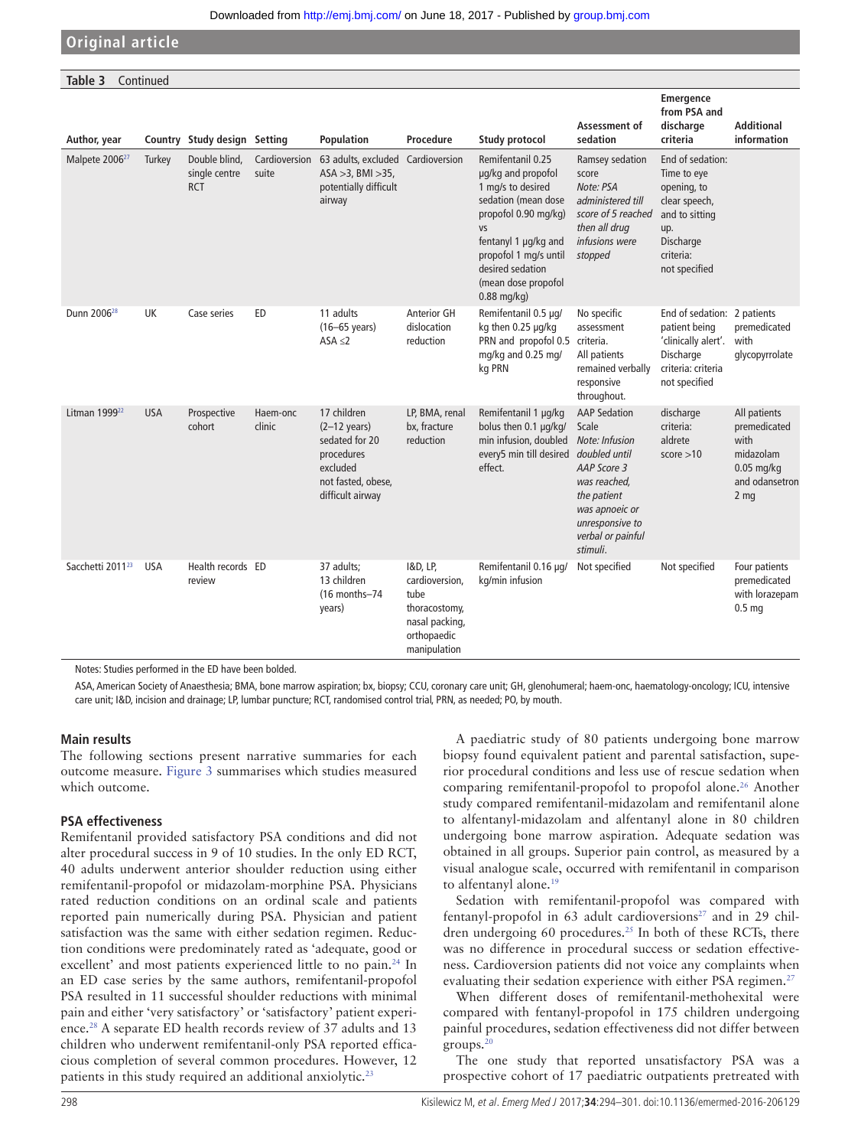| Table 3<br>Continued         |            |                                              |                        |                                                                                                                             |                                                                                                      |                                                                                                                                                                                                                                       |                                                                                                                                                                                     |                                                                                                                                     |                                                                                                        |
|------------------------------|------------|----------------------------------------------|------------------------|-----------------------------------------------------------------------------------------------------------------------------|------------------------------------------------------------------------------------------------------|---------------------------------------------------------------------------------------------------------------------------------------------------------------------------------------------------------------------------------------|-------------------------------------------------------------------------------------------------------------------------------------------------------------------------------------|-------------------------------------------------------------------------------------------------------------------------------------|--------------------------------------------------------------------------------------------------------|
| Author, year                 |            | Country Study design Setting                 |                        | Population                                                                                                                  | Procedure                                                                                            | <b>Study protocol</b>                                                                                                                                                                                                                 | Assessment of<br>sedation                                                                                                                                                           | Emergence<br>from PSA and<br>discharge<br>criteria                                                                                  | <b>Additional</b><br>information                                                                       |
| Malpete 2006 <sup>27</sup>   | Turkey     | Double blind,<br>single centre<br><b>RCT</b> | Cardioversion<br>suite | 63 adults, excluded Cardioversion<br>$ASA > 3$ , BMI $>35$ ,<br>potentially difficult<br>airway                             |                                                                                                      | Remifentanil 0.25<br>µg/kg and propofol<br>1 mg/s to desired<br>sedation (mean dose<br>propofol 0.90 mg/kg)<br><b>VS</b><br>fentanyl 1 µg/kg and<br>propofol 1 mg/s until<br>desired sedation<br>(mean dose propofol<br>$0.88$ mg/kg) | Ramsey sedation<br>score<br>Note: PSA<br>administered till<br>score of 5 reached<br>then all drug<br>infusions were<br>stopped                                                      | End of sedation:<br>Time to eye<br>opening, to<br>clear speech,<br>and to sitting<br>up.<br>Discharge<br>criteria:<br>not specified |                                                                                                        |
| Dunn 2006 <sup>28</sup>      | <b>UK</b>  | Case series                                  | ED                     | 11 adults<br>$(16-65 \text{ years})$<br>ASA $\leq$ 2                                                                        | <b>Anterior GH</b><br>dislocation<br>reduction                                                       | Remifentanil 0.5 µg/<br>kg then 0.25 µg/kg<br>PRN and propofol 0.5<br>mg/kg and 0.25 mg/<br>kg PRN                                                                                                                                    | No specific<br>assessment<br>criteria.<br>All patients<br>remained verbally<br>responsive<br>throughout.                                                                            | End of sedation: 2 patients<br>patient being<br>'clinically alert'.<br>Discharge<br>criteria: criteria<br>not specified             | premedicated<br>with<br>qlycopyrrolate                                                                 |
| Litman 1999 <sup>22</sup>    | <b>USA</b> | Prospective<br>cohort                        | Haem-onc<br>clinic     | 17 children<br>$(2-12 \text{ years})$<br>sedated for 20<br>procedures<br>excluded<br>not fasted, obese,<br>difficult airway | LP, BMA, renal<br>bx, fracture<br>reduction                                                          | Remifentanil 1 µg/kg<br>bolus then 0.1 µg/kg/<br>min infusion, doubled<br>every5 min till desired<br>effect.                                                                                                                          | <b>AAP Sedation</b><br>Scale<br>Note: Infusion<br>doubled until<br>AAP Score 3<br>was reached,<br>the patient<br>was apnoeic or<br>unresponsive to<br>verbal or painful<br>stimuli. | discharge<br>criteria:<br>aldrete<br>score > 10                                                                                     | All patients<br>premedicated<br>with<br>midazolam<br>$0.05$ mg/kg<br>and odansetron<br>2 <sub>mg</sub> |
| Sacchetti 2011 <sup>23</sup> | <b>USA</b> | Health records ED<br>review                  |                        | 37 adults;<br>13 children<br>(16 months-74<br>years)                                                                        | 1&D, LP,<br>cardioversion,<br>tube<br>thoracostomy,<br>nasal packing,<br>orthopaedic<br>manipulation | Remifentanil 0.16 µg/<br>kg/min infusion                                                                                                                                                                                              | Not specified                                                                                                                                                                       | Not specified                                                                                                                       | Four patients<br>premedicated<br>with lorazepam<br>0.5 <sub>mg</sub>                                   |

Notes: Studies performed in the ED have been bolded.

ASA, American Society of Anaesthesia; BMA, bone marrow aspiration; bx, biopsy; CCU, coronary care unit; GH, glenohumeral; haem-onc, haematology-oncology; ICU, intensive care unit; I&D, incision and drainage; LP, lumbar puncture; RCT, randomised control trial, PRN, as needed; PO, by mouth.

#### **Main results**

The following sections present narrative summaries for each outcome measure. [Figure](#page-6-0) 3 summarises which studies measured which outcome.

#### **PSA effectiveness**

Remifentanil provided satisfactory PSA conditions and did not alter procedural success in 9 of 10 studies. In the only ED RCT, 40 adults underwent anterior shoulder reduction using either remifentanil-propofol or midazolam-morphine PSA. Physicians rated reduction conditions on an ordinal scale and patients reported pain numerically during PSA. Physician and patient satisfaction was the same with either sedation regimen. Reduction conditions were predominately rated as 'adequate, good or excellent' and most patients experienced little to no pain.<sup>24</sup> In an ED case series by the same authors, remifentanil-propofol PSA resulted in 11 successful shoulder reductions with minimal pain and either 'very satisfactory' or 'satisfactory' patient experience.[28](#page-7-15) A separate ED health records review of 37 adults and 13 children who underwent remifentanil-only PSA reported efficacious completion of several common procedures. However, 12 patients in this study required an additional anxiolytic.<sup>[23](#page-7-16)</sup>

A paediatric study of 80 patients undergoing bone marrow biopsy found equivalent patient and parental satisfaction, superior procedural conditions and less use of rescue sedation when comparing remifentanil-propofol to propofol alone.<sup>26</sup> Another study compared remifentanil-midazolam and remifentanil alone to alfentanyl-midazolam and alfentanyl alone in 80 children undergoing bone marrow aspiration. Adequate sedation was obtained in all groups. Superior pain control, as measured by a visual analogue scale, occurred with remifentanil in comparison to alfentanyl alone.<sup>19</sup>

Sedation with remifentanil-propofol was compared with fentanyl-propofol in 63 adult cardioversions $27$  and in 29 chil-dren undergoing 60 procedures.<sup>[25](#page-7-14)</sup> In both of these RCTs, there was no difference in procedural success or sedation effectiveness. Cardioversion patients did not voice any complaints when evaluating their sedation experience with either PSA regimen.<sup>27</sup>

When different doses of remifentanil-methohexital were compared with fentanyl-propofol in 175 children undergoing painful procedures, sedation effectiveness did not differ between groups. $20$ 

The one study that reported unsatisfactory PSA was a prospective cohort of 17 paediatric outpatients pretreated with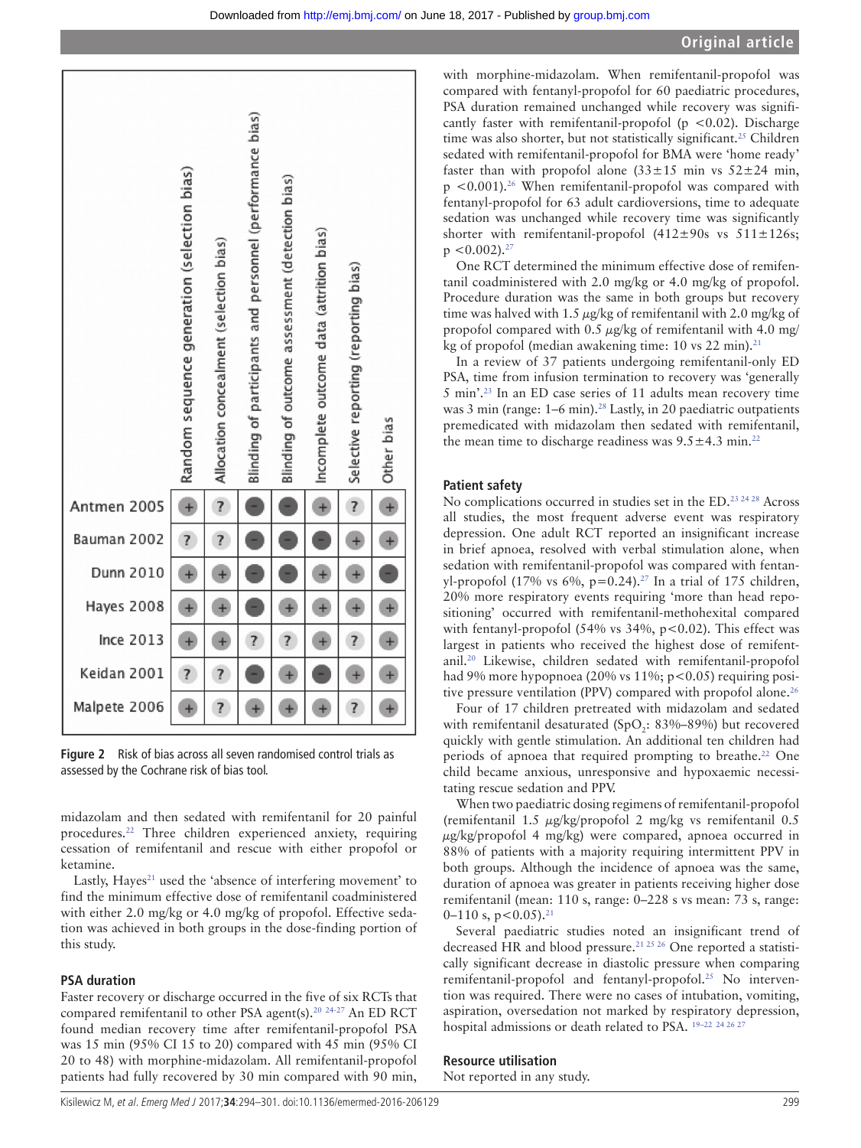



<span id="page-5-0"></span>**Figure 2** Risk of bias across all seven randomised control trials as assessed by the Cochrane risk of bias tool.

midazolam and then sedated with remifentanil for 20 painful procedures[.22](#page-7-9) Three children experienced anxiety, requiring cessation of remifentanil and rescue with either propofol or ketamine.

Lastly, Hayes<sup>21</sup> used the 'absence of interfering movement' to find the minimum effective dose of remifentanil coadministered with either 2.0 mg/kg or 4.0 mg/kg of propofol. Effective sedation was achieved in both groups in the dose-finding portion of this study.

#### **PSA duration**

Faster recovery or discharge occurred in the five of six RCTs that compared remifentanil to other PSA agent(s).<sup>[20](#page-7-12)</sup> <sup>24-27</sup> An ED RCT found median recovery time after remifentanil-propofol PSA was 15 min (95% CI 15 to 20) compared with 45 min (95% CI 20 to 48) with morphine-midazolam. All remifentanil-propofol patients had fully recovered by 30 min compared with 90 min,

with morphine-midazolam. When remifentanil-propofol was compared with fentanyl-propofol for 60 paediatric procedures, PSA duration remained unchanged while recovery was significantly faster with remifentanil-propofol ( $p < 0.02$ ). Discharge time was also shorter, but not statistically significant.<sup>25</sup> Children sedated with remifentanil-propofol for BMA were 'home ready' faster than with propofol alone  $(33\pm15 \text{ min} \text{ vs } 52\pm24 \text{ min}$ ,  $p < 0.001$ ).<sup>26</sup> When remifentanil-propofol was compared with fentanyl-propofol for 63 adult cardioversions, time to adequate sedation was unchanged while recovery time was significantly shorter with remifentanil-propofol  $(412\pm90s$  vs  $511\pm126s$ ;  $p < 0.002$ ).<sup>[27](#page-7-11)</sup>

One RCT determined the minimum effective dose of remifentanil coadministered with 2.0 mg/kg or 4.0 mg/kg of propofol. Procedure duration was the same in both groups but recovery time was halved with 1.5  $\mu$ g/kg of remifentanil with 2.0 mg/kg of propofol compared with 0.5  $\mu$ g/kg of remifentanil with 4.0 mg/ kg of propofol (median awakening time: 10 vs 22 min).<sup>21</sup>

In a review of 37 patients undergoing remifentanil-only ED PSA, time from infusion termination to recovery was 'generally 5 min'.[23](#page-7-16) In an ED case series of 11 adults mean recovery time was 3 min (range: 1–6 min).<sup>28</sup> Lastly, in 20 paediatric outpatients premedicated with midazolam then sedated with remifentanil, the mean time to discharge readiness was  $9.5 \pm 4.3$  min.<sup>22</sup>

#### **Patient safety**

No complications occurred in studies set in the ED[.23 24 28](#page-7-16) Across all studies, the most frequent adverse event was respiratory depression. One adult RCT reported an insignificant increase in brief apnoea, resolved with verbal stimulation alone, when sedation with remifentanil-propofol was compared with fentanyl-propofol (17% vs 6%, p=0.24).<sup>27</sup> In a trial of 175 children, 20% more respiratory events requiring 'more than head repositioning' occurred with remifentanil-methohexital compared with fentanyl-propofol (54% vs  $34\%$ , p<0.02). This effect was largest in patients who received the highest dose of remifentanil[.20](#page-7-12) Likewise, children sedated with remifentanil-propofol had 9% more hypopnoea (20% vs 11%; p<0.05) requiring posi-tive pressure ventilation (PPV) compared with propofol alone.<sup>[26](#page-7-13)</sup>

Four of 17 children pretreated with midazolam and sedated with remifentanil desaturated (SpO<sub>2</sub>: 83%–89%) but recovered quickly with gentle stimulation. An additional ten children had periods of apnoea that required prompting to breathe.<sup>22</sup> One child became anxious, unresponsive and hypoxaemic necessitating rescue sedation and PPV.

When two paediatric dosing regimens of remifentanil-propofol (remifentanil 1.5 μg/kg/propofol 2 mg/kg vs remifentanil 0.5 μg/kg/propofol 4 mg/kg) were compared, apnoea occurred in 88% of patients with a majority requiring intermittent PPV in both groups. Although the incidence of apnoea was the same, duration of apnoea was greater in patients receiving higher dose remifentanil (mean: 110 s, range: 0–228 s vs mean: 73 s, range: 0–110 s,  $p < 0.05$ ).<sup>[21](#page-7-10)</sup>

Several paediatric studies noted an insignificant trend of decreased HR and blood pressure.[21 25 26](#page-7-10) One reported a statistically significant decrease in diastolic pressure when comparing remifentanil-propofol and fentanyl-propofol[.25](#page-7-14) No intervention was required. There were no cases of intubation, vomiting, aspiration, oversedation not marked by respiratory depression, hospital admissions or death related to PSA. <sup>19-22 24 26</sup> <sup>27</sup>

#### **Resource utilisation**

Not reported in any study.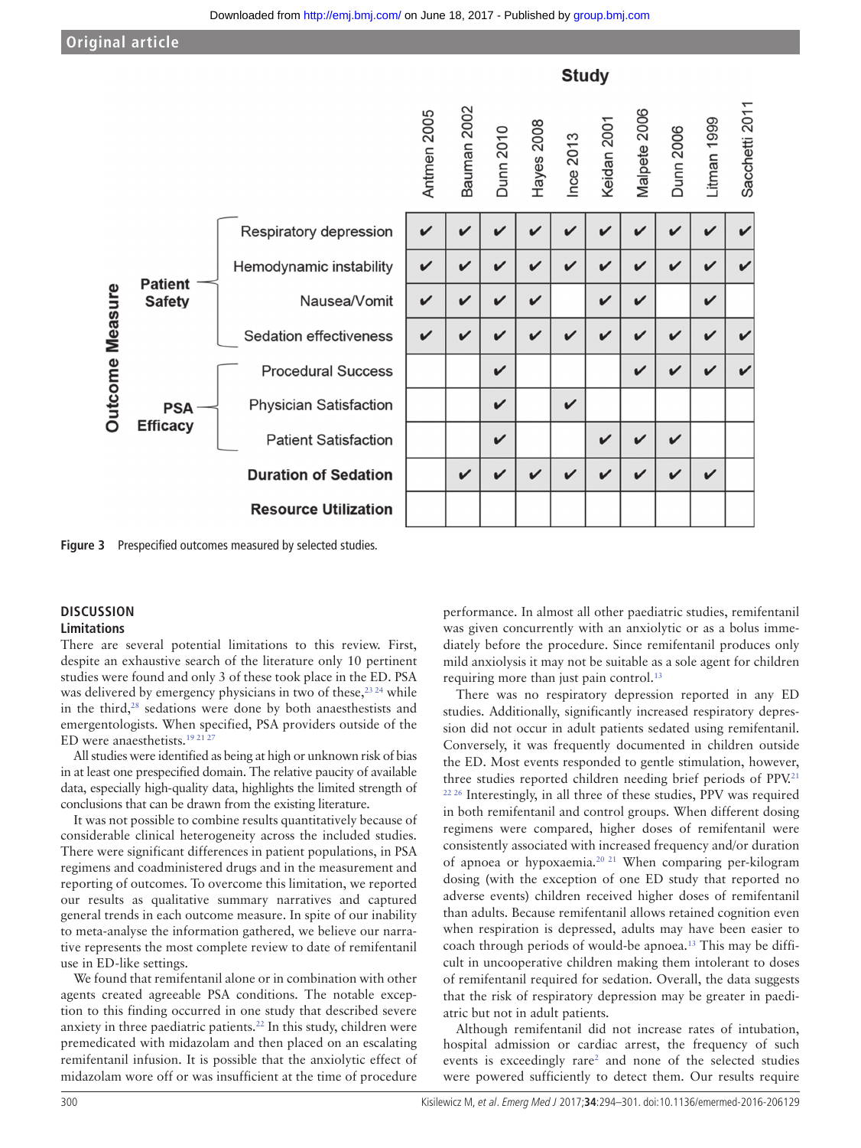**Studv** Sacchetti 2011 luman 2002 tmen 2005 alpete 2006 ayes 2008 man 1999 dan 2001 **Inn 2010** inn 2006 ce 2013  $\frac{1}{2}$ ,  $\overline{\phantom{a}}$ 

**Resource Utilization** 

<span id="page-6-0"></span>

#### **Discussion Limitations**

There are several potential limitations to this review. First, despite an exhaustive search of the literature only 10 pertinent studies were found and only 3 of these took place in the ED. PSA was delivered by emergency physicians in two of these,<sup>23 24</sup> while in the third,<sup>[28](#page-7-15)</sup> sedations were done by both anaesthestists and emergentologists. When specified, PSA providers outside of the ED were anaesthetists.[19 21 27](#page-7-7)

**Figure 3** Prespecified outcomes measured by selected studies.

All studies were identified as being at high or unknown risk of bias in at least one prespecified domain. The relative paucity of available data, especially high-quality data, highlights the limited strength of conclusions that can be drawn from the existing literature.

It was not possible to combine results quantitatively because of considerable clinical heterogeneity across the included studies. There were significant differences in patient populations, in PSA regimens and coadministered drugs and in the measurement and reporting of outcomes. To overcome this limitation, we reported our results as qualitative summary narratives and captured general trends in each outcome measure. In spite of our inability to meta-analyse the information gathered, we believe our narrative represents the most complete review to date of remifentanil use in ED-like settings.

We found that remifentanil alone or in combination with other agents created agreeable PSA conditions. The notable exception to this finding occurred in one study that described severe anxiety in three paediatric patients[.22](#page-7-9) In this study, children were premedicated with midazolam and then placed on an escalating remifentanil infusion. It is possible that the anxiolytic effect of midazolam wore off or was insufficient at the time of procedure

performance. In almost all other paediatric studies, remifentanil was given concurrently with an anxiolytic or as a bolus immediately before the procedure. Since remifentanil produces only mild anxiolysis it may not be suitable as a sole agent for children requiring more than just pain control.<sup>[13](#page-7-4)</sup>

There was no respiratory depression reported in any ED studies. Additionally, significantly increased respiratory depression did not occur in adult patients sedated using remifentanil. Conversely, it was frequently documented in children outside the ED. Most events responded to gentle stimulation, however, three studies reported children needing brief periods of PPV.<sup>21</sup> <sup>22, 26</sup> Interestingly, in all three of these studies, PPV was required in both remifentanil and control groups. When different dosing regimens were compared, higher doses of remifentanil were consistently associated with increased frequency and/or duration of apnoea or hypoxaemia.[20 21](#page-7-12) When comparing per-kilogram dosing (with the exception of one ED study that reported no adverse events) children received higher doses of remifentanil than adults. Because remifentanil allows retained cognition even when respiration is depressed, adults may have been easier to coach through periods of would-be apnoea.[13](#page-7-4) This may be difficult in uncooperative children making them intolerant to doses of remifentanil required for sedation. Overall, the data suggests that the risk of respiratory depression may be greater in paediatric but not in adult patients.

Although remifentanil did not increase rates of intubation, hospital admission or cardiac arrest, the frequency of such events is exceedingly rare<sup>2</sup> and none of the selected studies were powered sufficiently to detect them. Our results require

|  |                                                         |                             | ⋜ | m            |              |              |   |   | <b>エ ⊆ ⊻ ∑</b> |                            |              |  |
|--|---------------------------------------------------------|-----------------------------|---|--------------|--------------|--------------|---|---|----------------|----------------------------|--------------|--|
|  | <b>Patient</b><br><b>Safety</b>                         | Respiratory depression      | V | V            | $\checkmark$ | ✓            | V | ✓ | ✓              | $\checkmark$               | ✓            |  |
|  |                                                         | Hemodynamic instability     | V | $\checkmark$ | $\mathbf{v}$ | $\mathbf{v}$ | ✓ | ✓ | ✓              | $\checkmark$               | $\checkmark$ |  |
|  |                                                         | Nausea/Vomit                | V | V            | $\checkmark$ | ✓            |   | V | ✓              |                            | ✓            |  |
|  |                                                         | Sedation effectiveness      | V | $\checkmark$ | $\checkmark$ | $\checkmark$ | V | V | $\checkmark$   | $\checkmark$               | ✓            |  |
|  | <b>Outcome Measure</b><br><b>PSA</b><br><b>Efficacy</b> | <b>Procedural Success</b>   |   |              | $\checkmark$ |              |   |   | $\checkmark$   | $\checkmark$               | V            |  |
|  |                                                         | Physician Satisfaction      |   |              | $\checkmark$ |              | V |   |                |                            |              |  |
|  |                                                         | <b>Patient Satisfaction</b> |   |              | $\checkmark$ |              |   | V | $\checkmark$   | $\boldsymbol{\mathcal{U}}$ |              |  |
|  |                                                         | <b>Duration of Sedation</b> |   | $\checkmark$ | $\checkmark$ | ✓            | ✓ | ✓ | ✓              | ✓                          | ✓            |  |
|  |                                                         |                             |   |              |              |              |   |   |                |                            |              |  |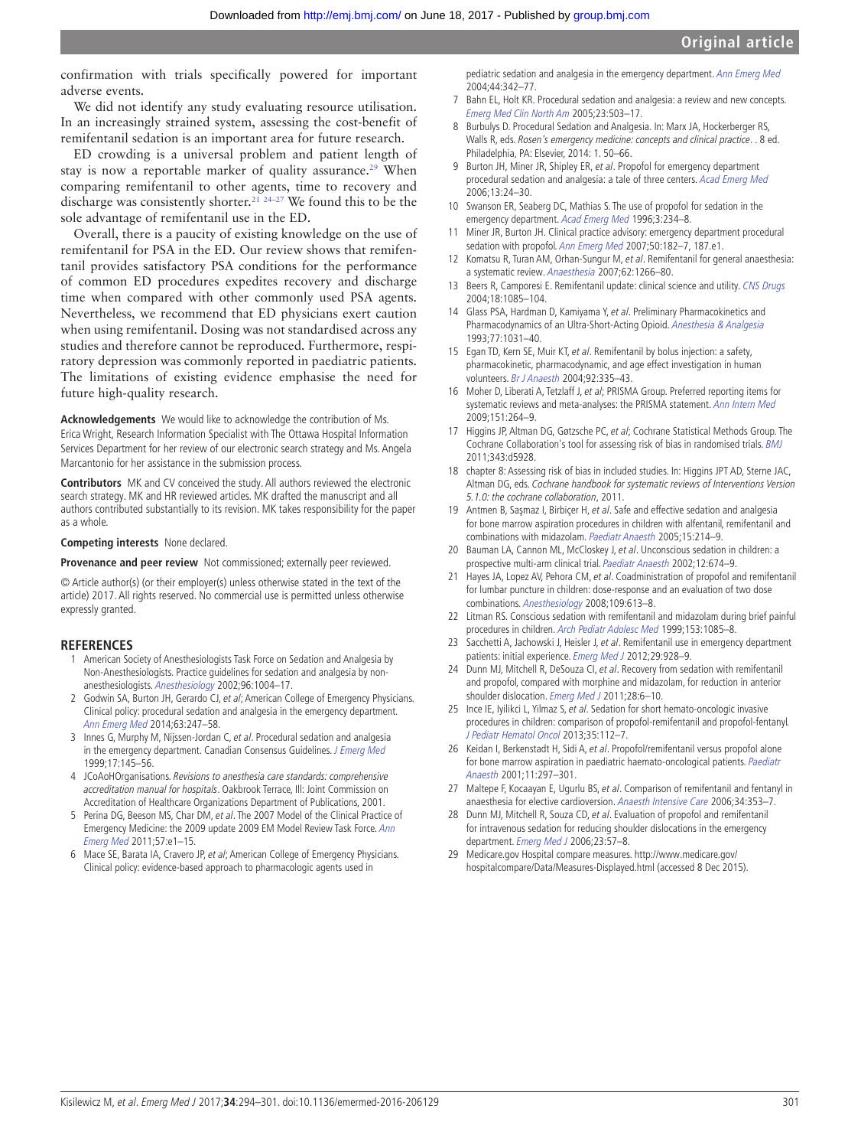confirmation with trials specifically powered for important adverse events.

We did not identify any study evaluating resource utilisation. In an increasingly strained system, assessing the cost-benefit of remifentanil sedation is an important area for future research.

ED crowding is a universal problem and patient length of stay is now a reportable marker of quality assurance.<sup>29</sup> When comparing remifentanil to other agents, time to recovery and discharge was consistently shorter.<sup>21 24–27</sup> We found this to be the sole advantage of remifentanil use in the ED.

Overall, there is a paucity of existing knowledge on the use of remifentanil for PSA in the ED. Our review shows that remifentanil provides satisfactory PSA conditions for the performance of common ED procedures expedites recovery and discharge time when compared with other commonly used PSA agents. Nevertheless, we recommend that ED physicians exert caution when using remifentanil. Dosing was not standardised across any studies and therefore cannot be reproduced. Furthermore, respiratory depression was commonly reported in paediatric patients. The limitations of existing evidence emphasise the need for future high-quality research.

**Acknowledgements** We would like to acknowledge the contribution of Ms. Erica Wright, Research Information Specialist with The Ottawa Hospital Information Services Department for her review of our electronic search strategy and Ms. Angela Marcantonio for her assistance in the submission process.

**Contributors** MK and CV conceived the study. All authors reviewed the electronic search strategy. MK and HR reviewed articles. MK drafted the manuscript and all authors contributed substantially to its revision. MK takes responsibility for the paper as a whole.

#### **Competing interests** None declared.

**Provenance and peer review** Not commissioned; externally peer reviewed.

© Article author(s) (or their employer(s) unless otherwise stated in the text of the article) 2017. All rights reserved. No commercial use is permitted unless otherwise expressly granted.

#### <span id="page-7-0"></span>**References**

- 1 American Society of Anesthesiologists Task Force on Sedation and Analgesia by Non-Anesthesiologists. Practice guidelines for sedation and analgesia by nonanesthesiologists. Anesthesiology 2002;96:1004–17.
- <span id="page-7-17"></span>2 Godwin SA, Burton JH, Gerardo CJ, et al; American College of Emergency Physicians. Clinical policy: procedural sedation and analgesia in the emergency department. [Ann Emerg Med](http://dx.doi.org/10.1016/j.annemergmed.2013.10.015) 2014;63:247–58.
- 3 Innes G, Murphy M, Nijssen-Jordan C, et al. Procedural sedation and analgesia in the emergency department. Canadian Consensus Guidelines. [J Emerg Med](http://dx.doi.org/10.1016/S0736-4679(98)00135-8) 1999;17:145–56.
- 4 JCoAoHOrganisations. Revisions to anesthesia care standards: comprehensive accreditation manual for hospitals. Oakbrook Terrace, Ill: Joint Commission on Accreditation of Healthcare Organizations Department of Publications, 2001.
- 5 Perina DG, Beeson MS, Char DM, et al. The 2007 Model of the Clinical Practice of Emergency Medicine: the 2009 update 2009 EM Model Review Task Force. [Ann](http://dx.doi.org/10.1016/j.annemergmed.2010.11.015)  [Emerg Med](http://dx.doi.org/10.1016/j.annemergmed.2010.11.015) 2011;57:e1–15.
- <span id="page-7-1"></span>6 Mace SE, Barata IA, Cravero JP, et al; American College of Emergency Physicians. Clinical policy: evidence-based approach to pharmacologic agents used in

pediatric sedation and analgesia in the emergency department. [Ann Emerg Med](http://dx.doi.org/10.1016/j.annemergmed.2004.04.012) 2004;44:342–77.

- 7 Bahn EL, Holt KR. Procedural sedation and analgesia: a review and new concepts. [Emerg Med Clin North Am](http://dx.doi.org/10.1016/j.emc.2004.12.013) 2005;23:503–17.
- 8 Burbulys D. Procedural Sedation and Analgesia. In: Marx JA, Hockerberger RS, Walls R, eds. Rosen's emergency medicine: concepts and clinical practice. . 8 ed. Philadelphia, PA: Elsevier, 2014: 1. 50–66.
- <span id="page-7-2"></span>9 Burton JH, Miner JR, Shipley ER, et al. Propofol for emergency department procedural sedation and analgesia: a tale of three centers. [Acad Emerg Med](http://dx.doi.org/10.1111/j.1553-2712.2006.tb00980.x) 2006;13:24–30.
- Swanson ER, Seaberg DC, Mathias S. The use of propofol for sedation in the emergency department. [Acad Emerg Med](http://dx.doi.org/10.1111/j.1553-2712.1996.tb03426.x) 1996;3:234–8.
- 11 Miner JR, Burton JH. Clinical practice advisory: emergency department procedural sedation with propofol. [Ann Emerg Med](http://dx.doi.org/10.1016/j.annemergmed.2006.12.017) 2007;50:182-7, 187.e1.
- <span id="page-7-3"></span>12 Komatsu R, Turan AM, Orhan-Sungur M, et al. Remifentanil for general anaesthesia: a systematic review. [Anaesthesia](http://dx.doi.org/10.1111/j.1365-2044.2007.05221.x) 2007;62:1266–80.
- <span id="page-7-4"></span>13 Beers R, Camporesi E. Remifentanil update: clinical science and utility. [CNS Drugs](http://dx.doi.org/10.2165/00023210-200418150-00004) 2004;18:1085–104.
- 14 Glass PSA, Hardman D, Kamiyama Y, et al. Preliminary Pharmacokinetics and Pharmacodynamics of an Ultra-Short-Acting Opioid. [Anesthesia & Analgesia](http://dx.doi.org/10.1213/00000539-199311000-00028) 1993;77:1031–40.
- 15 Egan TD, Kern SE, Muir KT, et al. Remifentanil by bolus injection: a safety, pharmacokinetic, pharmacodynamic, and age effect investigation in human volunteers. [Br J Anaesth](http://dx.doi.org/10.1093/bja/aeh075) 2004;92:335-43.
- <span id="page-7-5"></span>16 Moher D, Liberati A, Tetzlaff J, et al; PRISMA Group. Preferred reporting items for systematic reviews and meta-analyses: the PRISMA statement. [Ann Intern Med](http://dx.doi.org/10.7326/0003-4819-151-4-200908180-00135) 2009;151:264–9.
- <span id="page-7-6"></span>17 Higgins JP, Altman DG, Gøtzsche PC, et al; Cochrane Statistical Methods Group. The Cochrane Collaboration's tool for assessing risk of bias in randomised trials. [BMJ](http://dx.doi.org/10.1136/bmj.d5928) 2011;343:d5928.
- 18 chapter 8: Assessing risk of bias in included studies. In: Higgins JPT AD, Sterne JAC, Altman DG, eds. Cochrane handbook for systematic reviews of Interventions Version 5.1.0: the cochrane collaboration, 2011.
- <span id="page-7-7"></span>19 Antmen B, Saşmaz I, Birbiçer H, et al. Safe and effective sedation and analgesia for bone marrow aspiration procedures in children with alfentanil, remifentanil and combinations with midazolam. [Paediatr Anaesth](http://dx.doi.org/10.1111/j.1460-9592.2004.01411.x) 2005;15:214–9.
- <span id="page-7-12"></span>20 Bauman LA, Cannon ML, McCloskey J, et al. Unconscious sedation in children: a prospective multi-arm clinical trial. [Paediatr Anaesth](http://dx.doi.org/10.1046/j.1460-9592.2002.00947.x) 2002;12:674–9.
- <span id="page-7-10"></span>21 Hayes JA, Lopez AV, Pehora CM, et al. Coadministration of propofol and remifentanil for lumbar puncture in children: dose-response and an evaluation of two dose combinations. [Anesthesiology](http://dx.doi.org/10.1097/ALN.0b013e31818629f3) 2008;109:613–8.
- <span id="page-7-9"></span>22 Litman RS. Conscious sedation with remifentanil and midazolam during brief painful procedures in children. [Arch Pediatr Adolesc Med](http://dx.doi.org/10.1001/archpedi.153.10.1085) 1999;153:1085–8.
- <span id="page-7-16"></span>23 Sacchetti A, Jachowski J, Heisler J, et al. Remifentanil use in emergency department patients: initial experience. [Emerg Med J](http://dx.doi.org/10.1136/emermed-2011-200013) 2012;29:928-9.
- <span id="page-7-8"></span>24 Dunn MJ, Mitchell R, DeSouza CI, et al. Recovery from sedation with remifentanil and propofol, compared with morphine and midazolam, for reduction in anterior shoulder dislocation. [Emerg Med J](http://dx.doi.org/10.1136/emj.2008.067652) 2011;28:6-10.
- <span id="page-7-14"></span>25 Ince IE, Iyilikci L, Yilmaz S, et al. Sedation for short hemato-oncologic invasive procedures in children: comparison of propofol-remifentanil and propofol-fentanyl. [J Pediatr Hematol Oncol](http://dx.doi.org/10.1097/MPH.0b013e318279cbda) 2013;35:112–7.
- <span id="page-7-13"></span>26 Keidan I, Berkenstadt H, Sidi A, et al. Propofol/remifentanil versus propofol alone for bone marrow aspiration in paediatric haemato-oncological patients. [Paediatr](http://dx.doi.org/10.1046/j.1460-9592.2001.00662.x)  [Anaesth](http://dx.doi.org/10.1046/j.1460-9592.2001.00662.x) 2001;11:297–301.
- <span id="page-7-11"></span>27 Maltepe F, Kocaayan E, Ugurlu BS, et al. Comparison of remifentanil and fentanyl in anaesthesia for elective cardioversion. Anaesth Intensive Care 2006;34:353–7.
- <span id="page-7-15"></span>28 Dunn MJ, Mitchell R, Souza CD, et al. Evaluation of propofol and remifentanil for intravenous sedation for reducing shoulder dislocations in the emergency department. [Emerg Med J](http://dx.doi.org/10.1136/emj.2004.021410) 2006;23:57-8.
- <span id="page-7-18"></span>29 Medicare.gov Hospital compare measures. [http://www.medicare.gov/](http://www.medicare.gov/hospitalcompare/Data/Measures-Displayed.html) [hospitalcompare/Data/Measures-Displayed.html](http://www.medicare.gov/hospitalcompare/Data/Measures-Displayed.html) (accessed 8 Dec 2015).